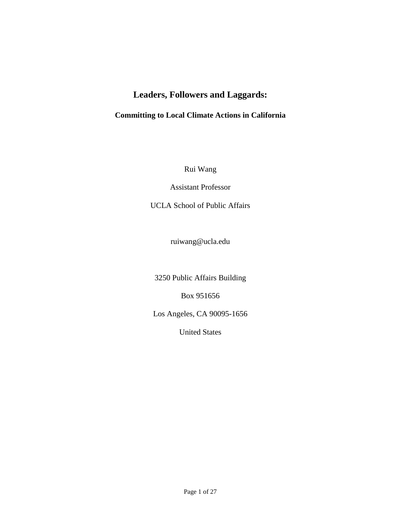# **Leaders, Followers and Laggards:**

## **Committing to Local Climate Actions in California**

Rui Wang

Assistant Professor

UCLA School of Public Affairs

ruiwang@ucla.edu

3250 Public Affairs Building

Box 951656

Los Angeles, CA 90095-1656

United States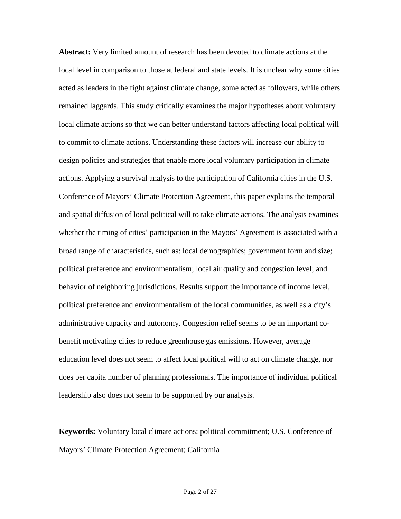**Abstract:** Very limited amount of research has been devoted to climate actions at the local level in comparison to those at federal and state levels. It is unclear why some cities acted as leaders in the fight against climate change, some acted as followers, while others remained laggards. This study critically examines the major hypotheses about voluntary local climate actions so that we can better understand factors affecting local political will to commit to climate actions. Understanding these factors will increase our ability to design policies and strategies that enable more local voluntary participation in climate actions. Applying a survival analysis to the participation of California cities in the U.S. Conference of Mayors' Climate Protection Agreement, this paper explains the temporal and spatial diffusion of local political will to take climate actions. The analysis examines whether the timing of cities' participation in the Mayors' Agreement is associated with a broad range of characteristics, such as: local demographics; government form and size; political preference and environmentalism; local air quality and congestion level; and behavior of neighboring jurisdictions. Results support the importance of income level, political preference and environmentalism of the local communities, as well as a city's administrative capacity and autonomy. Congestion relief seems to be an important cobenefit motivating cities to reduce greenhouse gas emissions. However, average education level does not seem to affect local political will to act on climate change, nor does per capita number of planning professionals. The importance of individual political leadership also does not seem to be supported by our analysis.

**Keywords:** Voluntary local climate actions; political commitment; U.S. Conference of Mayors' Climate Protection Agreement; California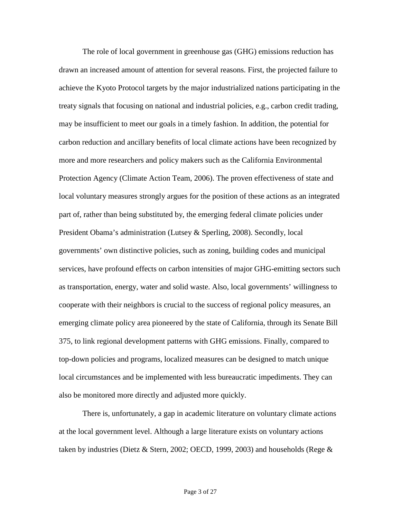The role of local government in greenhouse gas (GHG) emissions reduction has drawn an increased amount of attention for several reasons. First, the projected failure to achieve the Kyoto Protocol targets by the major industrialized nations participating in the treaty signals that focusing on national and industrial policies, e.g., carbon credit trading, may be insufficient to meet our goals in a timely fashion. In addition, the potential for carbon reduction and ancillary benefits of local climate actions have been recognized by more and more researchers and policy makers such as the California Environmental Protection Agency (Climate Action Team, 2006). The proven effectiveness of state and local voluntary measures strongly argues for the position of these actions as an integrated part of, rather than being substituted by, the emerging federal climate policies under President Obama's administration (Lutsey & Sperling, 2008). Secondly, local governments' own distinctive policies, such as zoning, building codes and municipal services, have profound effects on carbon intensities of major GHG-emitting sectors such as transportation, energy, water and solid waste. Also, local governments' willingness to cooperate with their neighbors is crucial to the success of regional policy measures, an emerging climate policy area pioneered by the state of California, through its Senate Bill 375, to link regional development patterns with GHG emissions. Finally, compared to top-down policies and programs, localized measures can be designed to match unique local circumstances and be implemented with less bureaucratic impediments. They can also be monitored more directly and adjusted more quickly.

There is, unfortunately, a gap in academic literature on voluntary climate actions at the local government level. Although a large literature exists on voluntary actions taken by industries (Dietz & Stern, 2002; OECD, 1999, 2003) and households (Rege  $\&$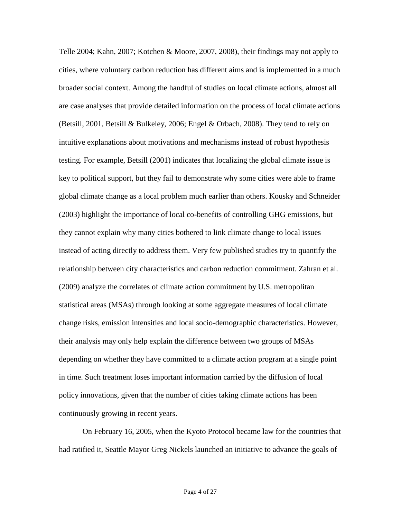Telle 2004; Kahn, 2007; Kotchen & Moore, 2007, 2008), their findings may not apply to cities, where voluntary carbon reduction has different aims and is implemented in a much broader social context. Among the handful of studies on local climate actions, almost all are case analyses that provide detailed information on the process of local climate actions (Betsill, 2001, Betsill & Bulkeley, 2006; Engel & Orbach, 2008). They tend to rely on intuitive explanations about motivations and mechanisms instead of robust hypothesis testing. For example, Betsill (2001) indicates that localizing the global climate issue is key to political support, but they fail to demonstrate why some cities were able to frame global climate change as a local problem much earlier than others. Kousky and Schneider (2003) highlight the importance of local co-benefits of controlling GHG emissions, but they cannot explain why many cities bothered to link climate change to local issues instead of acting directly to address them. Very few published studies try to quantify the relationship between city characteristics and carbon reduction commitment. Zahran et al. (2009) analyze the correlates of climate action commitment by U.S. metropolitan statistical areas (MSAs) through looking at some aggregate measures of local climate change risks, emission intensities and local socio-demographic characteristics. However, their analysis may only help explain the difference between two groups of MSAs depending on whether they have committed to a climate action program at a single point in time. Such treatment loses important information carried by the diffusion of local policy innovations, given that the number of cities taking climate actions has been continuously growing in recent years.

On February 16, 2005, when the Kyoto Protocol became law for the countries that had ratified it, Seattle Mayor Greg Nickels launched an initiative to advance the goals of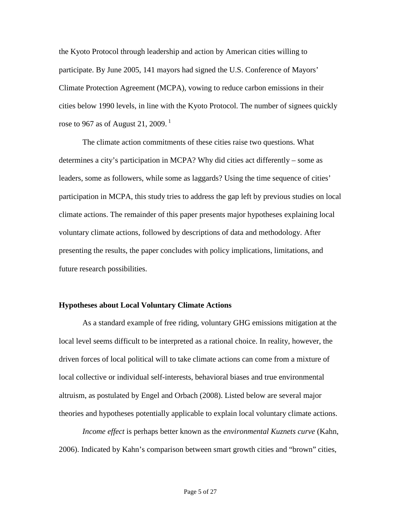the Kyoto Protocol through leadership and action by American cities willing to participate. By June 2005, 141 mayors had signed the U.S. Conference of Mayors' Climate Protection Agreement (MCPA), vowing to reduce carbon emissions in their cities below 1990 levels, in line with the Kyoto Protocol. The number of signees quickly rose to 967 as of August 21, 2009.<sup>1</sup>

The climate action commitments of these cities raise two questions. What determines a city's participation in MCPA? Why did cities act differently – some as leaders, some as followers, while some as laggards? Using the time sequence of cities' participation in MCPA, this study tries to address the gap left by previous studies on local climate actions. The remainder of this paper presents major hypotheses explaining local voluntary climate actions, followed by descriptions of data and methodology. After presenting the results, the paper concludes with policy implications, limitations, and future research possibilities.

### **Hypotheses about Local Voluntary Climate Actions**

As a standard example of free riding, voluntary GHG emissions mitigation at the local level seems difficult to be interpreted as a rational choice. In reality, however, the driven forces of local political will to take climate actions can come from a mixture of local collective or individual self-interests, behavioral biases and true environmental altruism, as postulated by Engel and Orbach (2008). Listed below are several major theories and hypotheses potentially applicable to explain local voluntary climate actions.

*Income effect* is perhaps better known as the *environmental Kuznets curve* (Kahn, 2006). Indicated by Kahn's comparison between smart growth cities and "brown" cities,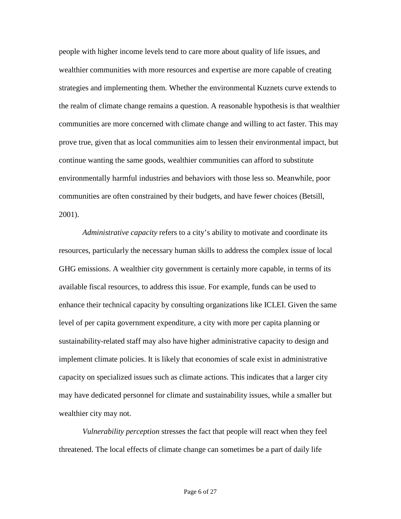people with higher income levels tend to care more about quality of life issues, and wealthier communities with more resources and expertise are more capable of creating strategies and implementing them. Whether the environmental Kuznets curve extends to the realm of climate change remains a question. A reasonable hypothesis is that wealthier communities are more concerned with climate change and willing to act faster. This may prove true, given that as local communities aim to lessen their environmental impact, but continue wanting the same goods, wealthier communities can afford to substitute environmentally harmful industries and behaviors with those less so. Meanwhile, poor communities are often constrained by their budgets, and have fewer choices (Betsill, 2001).

*Administrative capacity* refers to a city's ability to motivate and coordinate its resources, particularly the necessary human skills to address the complex issue of local GHG emissions. A wealthier city government is certainly more capable, in terms of its available fiscal resources, to address this issue. For example, funds can be used to enhance their technical capacity by consulting organizations like ICLEI. Given the same level of per capita government expenditure, a city with more per capita planning or sustainability-related staff may also have higher administrative capacity to design and implement climate policies. It is likely that economies of scale exist in administrative capacity on specialized issues such as climate actions. This indicates that a larger city may have dedicated personnel for climate and sustainability issues, while a smaller but wealthier city may not.

*Vulnerability perception* stresses the fact that people will react when they feel threatened. The local effects of climate change can sometimes be a part of daily life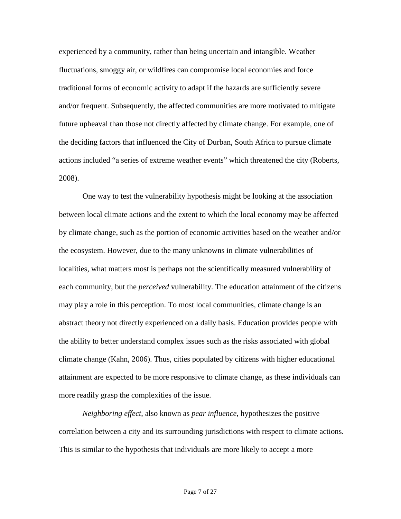experienced by a community, rather than being uncertain and intangible. Weather fluctuations, smoggy air, or wildfires can compromise local economies and force traditional forms of economic activity to adapt if the hazards are sufficiently severe and/or frequent. Subsequently, the affected communities are more motivated to mitigate future upheaval than those not directly affected by climate change. For example, one of the deciding factors that influenced the City of Durban, South Africa to pursue climate actions included "a series of extreme weather events" which threatened the city (Roberts, 2008).

One way to test the vulnerability hypothesis might be looking at the association between local climate actions and the extent to which the local economy may be affected by climate change, such as the portion of economic activities based on the weather and/or the ecosystem. However, due to the many unknowns in climate vulnerabilities of localities, what matters most is perhaps not the scientifically measured vulnerability of each community, but the *perceived* vulnerability. The education attainment of the citizens may play a role in this perception. To most local communities, climate change is an abstract theory not directly experienced on a daily basis. Education provides people with the ability to better understand complex issues such as the risks associated with global climate change (Kahn, 2006). Thus, cities populated by citizens with higher educational attainment are expected to be more responsive to climate change, as these individuals can more readily grasp the complexities of the issue.

*Neighboring effect*, also known as *pear influence*, hypothesizes the positive correlation between a city and its surrounding jurisdictions with respect to climate actions. This is similar to the hypothesis that individuals are more likely to accept a more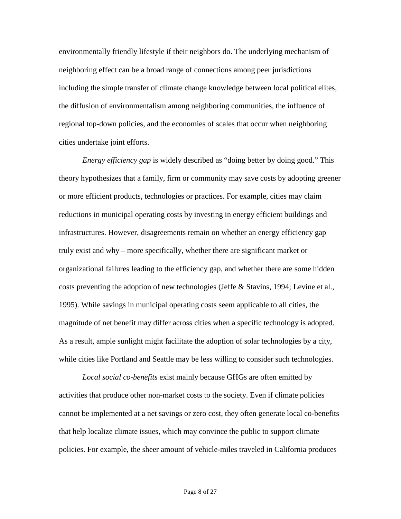environmentally friendly lifestyle if their neighbors do. The underlying mechanism of neighboring effect can be a broad range of connections among peer jurisdictions including the simple transfer of climate change knowledge between local political elites, the diffusion of environmentalism among neighboring communities, the influence of regional top-down policies, and the economies of scales that occur when neighboring cities undertake joint efforts.

*Energy efficiency gap* is widely described as "doing better by doing good." This theory hypothesizes that a family, firm or community may save costs by adopting greener or more efficient products, technologies or practices. For example, cities may claim reductions in municipal operating costs by investing in energy efficient buildings and infrastructures. However, disagreements remain on whether an energy efficiency gap truly exist and why – more specifically, whether there are significant market or organizational failures leading to the efficiency gap, and whether there are some hidden costs preventing the adoption of new technologies (Jeffe & Stavins, 1994; Levine et al., 1995). While savings in municipal operating costs seem applicable to all cities, the magnitude of net benefit may differ across cities when a specific technology is adopted. As a result, ample sunlight might facilitate the adoption of solar technologies by a city, while cities like Portland and Seattle may be less willing to consider such technologies.

*Local social co-benefits* exist mainly because GHGs are often emitted by activities that produce other non-market costs to the society. Even if climate policies cannot be implemented at a net savings or zero cost, they often generate local co-benefits that help localize climate issues, which may convince the public to support climate policies. For example, the sheer amount of vehicle-miles traveled in California produces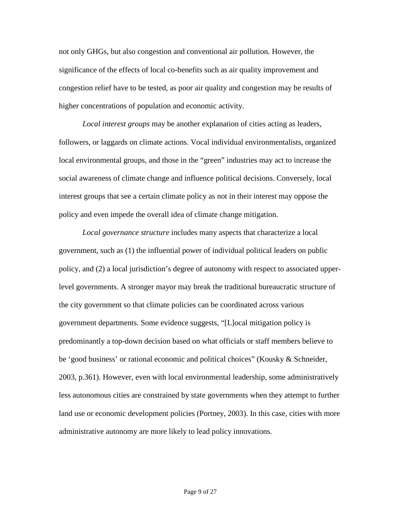not only GHGs, but also congestion and conventional air pollution. However, the significance of the effects of local co-benefits such as air quality improvement and congestion relief have to be tested, as poor air quality and congestion may be results of higher concentrations of population and economic activity.

*Local interest groups* may be another explanation of cities acting as leaders, followers, or laggards on climate actions. Vocal individual environmentalists, organized local environmental groups, and those in the "green" industries may act to increase the social awareness of climate change and influence political decisions. Conversely, local interest groups that see a certain climate policy as not in their interest may oppose the policy and even impede the overall idea of climate change mitigation.

*Local governance structure* includes many aspects that characterize a local government, such as (1) the influential power of individual political leaders on public policy, and (2) a local jurisdiction's degree of autonomy with respect to associated upperlevel governments. A stronger mayor may break the traditional bureaucratic structure of the city government so that climate policies can be coordinated across various government departments. Some evidence suggests, "[L]ocal mitigation policy is predominantly a top-down decision based on what officials or staff members believe to be 'good business' or rational economic and political choices" (Kousky & Schneider, 2003, p.361). However, even with local environmental leadership, some administratively less autonomous cities are constrained by state governments when they attempt to further land use or economic development policies (Portney, 2003). In this case, cities with more administrative autonomy are more likely to lead policy innovations.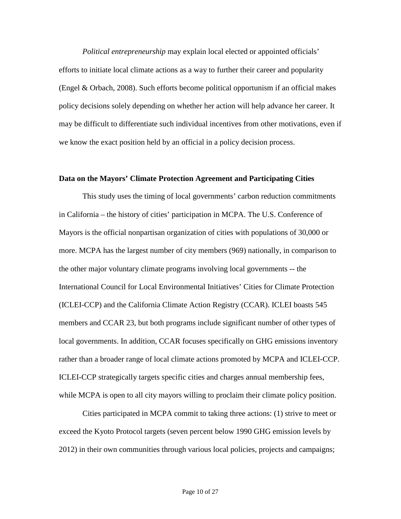*Political entrepreneurship* may explain local elected or appointed officials' efforts to initiate local climate actions as a way to further their career and popularity (Engel & Orbach, 2008). Such efforts become political opportunism if an official makes policy decisions solely depending on whether her action will help advance her career. It may be difficult to differentiate such individual incentives from other motivations, even if we know the exact position held by an official in a policy decision process.

#### **Data on the Mayors' Climate Protection Agreement and Participating Cities**

This study uses the timing of local governments' carbon reduction commitments in California – the history of cities' participation in MCPA. The U.S. Conference of Mayors is the official nonpartisan organization of cities with populations of 30,000 or more. MCPA has the largest number of city members (969) nationally, in comparison to the other major voluntary climate programs involving local governments -- the International Council for Local Environmental Initiatives' Cities for Climate Protection (ICLEI-CCP) and the California Climate Action Registry (CCAR). ICLEI boasts 545 members and CCAR 23, but both programs include significant number of other types of local governments. In addition, CCAR focuses specifically on GHG emissions inventory rather than a broader range of local climate actions promoted by MCPA and ICLEI-CCP. ICLEI-CCP strategically targets specific cities and charges annual membership fees, while MCPA is open to all city mayors willing to proclaim their climate policy position.

Cities participated in MCPA commit to taking three actions: (1) strive to meet or exceed the Kyoto Protocol targets (seven percent below 1990 GHG emission levels by 2012) in their own communities through various local policies, projects and campaigns;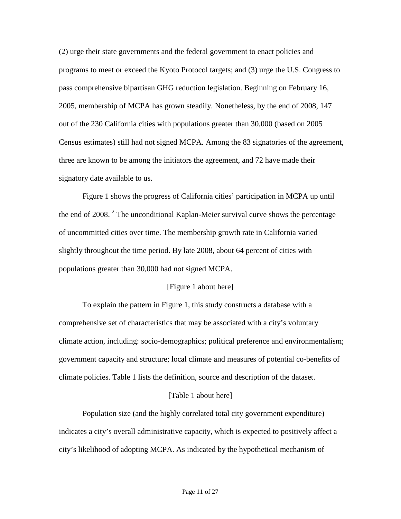(2) urge their state governments and the federal government to enact policies and programs to meet or exceed the Kyoto Protocol targets; and (3) urge the U.S. Congress to pass comprehensive bipartisan GHG reduction legislation. Beginning on February 16, 2005, membership of MCPA has grown steadily. Nonetheless, by the end of 2008, 147 out of the 230 California cities with populations greater than 30,000 (based on 2005 Census estimates) still had not signed MCPA. Among the 83 signatories of the agreement, three are known to be among the initiators the agreement, and 72 have made their signatory date available to us.

Figure 1 shows the progress of California cities' participation in MCPA up until the end of 2008.<sup>2</sup> The unconditional Kaplan-Meier survival curve shows the percentage of uncommitted cities over time. The membership growth rate in California varied slightly throughout the time period. By late 2008, about 64 percent of cities with populations greater than 30,000 had not signed MCPA.

## [Figure 1 about here]

To explain the pattern in Figure 1, this study constructs a database with a comprehensive set of characteristics that may be associated with a city's voluntary climate action, including: socio-demographics; political preference and environmentalism; government capacity and structure; local climate and measures of potential co-benefits of climate policies. Table 1 lists the definition, source and description of the dataset.

## [Table 1 about here]

Population size (and the highly correlated total city government expenditure) indicates a city's overall administrative capacity, which is expected to positively affect a city's likelihood of adopting MCPA. As indicated by the hypothetical mechanism of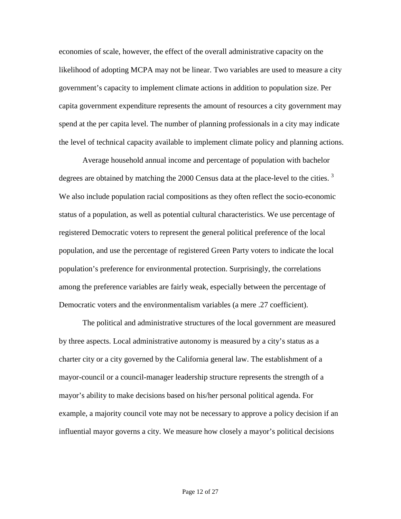economies of scale, however, the effect of the overall administrative capacity on the likelihood of adopting MCPA may not be linear. Two variables are used to measure a city government's capacity to implement climate actions in addition to population size. Per capita government expenditure represents the amount of resources a city government may spend at the per capita level. The number of planning professionals in a city may indicate the level of technical capacity available to implement climate policy and planning actions.

Average household annual income and percentage of population with bachelor degrees are obtained by matching the 2000 Census data at the place-level to the cities.<sup>3</sup> We also include population racial compositions as they often reflect the socio-economic status of a population, as well as potential cultural characteristics. We use percentage of registered Democratic voters to represent the general political preference of the local population, and use the percentage of registered Green Party voters to indicate the local population's preference for environmental protection. Surprisingly, the correlations among the preference variables are fairly weak, especially between the percentage of Democratic voters and the environmentalism variables (a mere .27 coefficient).

The political and administrative structures of the local government are measured by three aspects. Local administrative autonomy is measured by a city's status as a charter city or a city governed by the California general law. The establishment of a mayor-council or a council-manager leadership structure represents the strength of a mayor's ability to make decisions based on his/her personal political agenda. For example, a majority council vote may not be necessary to approve a policy decision if an influential mayor governs a city. We measure how closely a mayor's political decisions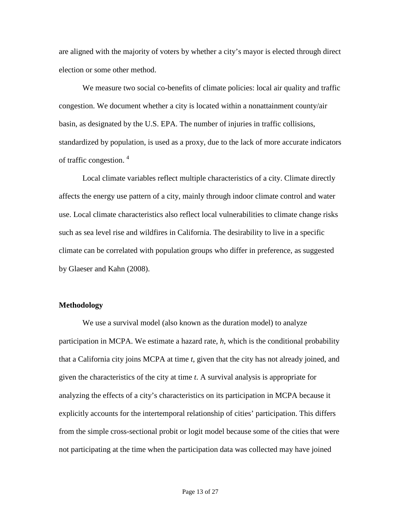are aligned with the majority of voters by whether a city's mayor is elected through direct election or some other method.

We measure two social co-benefits of climate policies: local air quality and traffic congestion. We document whether a city is located within a nonattainment county/air basin, as designated by the U.S. EPA. The number of injuries in traffic collisions, standardized by population, is used as a proxy, due to the lack of more accurate indicators of traffic congestion. <sup>4</sup>

Local climate variables reflect multiple characteristics of a city. Climate directly affects the energy use pattern of a city, mainly through indoor climate control and water use. Local climate characteristics also reflect local vulnerabilities to climate change risks such as sea level rise and wildfires in California. The desirability to live in a specific climate can be correlated with population groups who differ in preference, as suggested by Glaeser and Kahn (2008).

## **Methodology**

We use a survival model (also known as the duration model) to analyze participation in MCPA. We estimate a hazard rate, *h*, which is the conditional probability that a California city joins MCPA at time *t*, given that the city has not already joined, and given the characteristics of the city at time *t*. A survival analysis is appropriate for analyzing the effects of a city's characteristics on its participation in MCPA because it explicitly accounts for the intertemporal relationship of cities' participation. This differs from the simple cross-sectional probit or logit model because some of the cities that were not participating at the time when the participation data was collected may have joined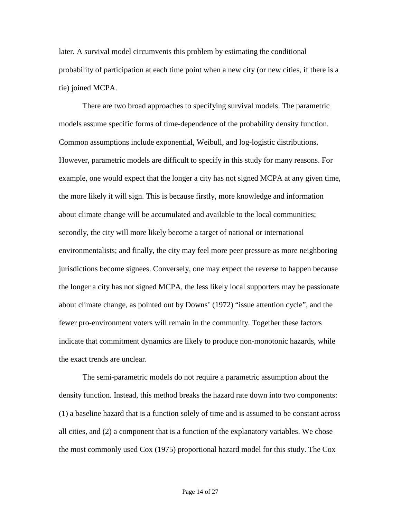later. A survival model circumvents this problem by estimating the conditional probability of participation at each time point when a new city (or new cities, if there is a tie) joined MCPA.

There are two broad approaches to specifying survival models. The parametric models assume specific forms of time-dependence of the probability density function. Common assumptions include exponential, Weibull, and log-logistic distributions. However, parametric models are difficult to specify in this study for many reasons. For example, one would expect that the longer a city has not signed MCPA at any given time, the more likely it will sign. This is because firstly, more knowledge and information about climate change will be accumulated and available to the local communities; secondly, the city will more likely become a target of national or international environmentalists; and finally, the city may feel more peer pressure as more neighboring jurisdictions become signees. Conversely, one may expect the reverse to happen because the longer a city has not signed MCPA, the less likely local supporters may be passionate about climate change, as pointed out by Downs' (1972) "issue attention cycle", and the fewer pro-environment voters will remain in the community. Together these factors indicate that commitment dynamics are likely to produce non-monotonic hazards, while the exact trends are unclear.

The semi-parametric models do not require a parametric assumption about the density function. Instead, this method breaks the hazard rate down into two components: (1) a baseline hazard that is a function solely of time and is assumed to be constant across all cities, and (2) a component that is a function of the explanatory variables. We chose the most commonly used Cox (1975) proportional hazard model for this study. The Cox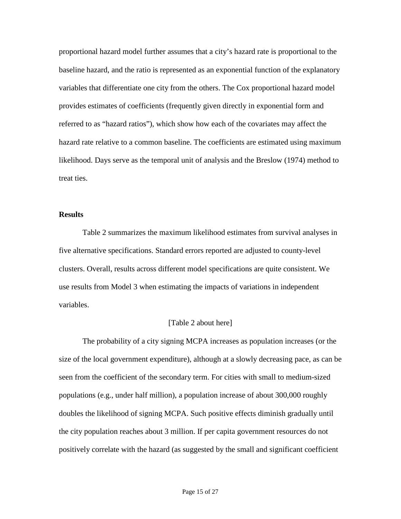proportional hazard model further assumes that a city's hazard rate is proportional to the baseline hazard, and the ratio is represented as an exponential function of the explanatory variables that differentiate one city from the others. The Cox proportional hazard model provides estimates of coefficients (frequently given directly in exponential form and referred to as "hazard ratios"), which show how each of the covariates may affect the hazard rate relative to a common baseline. The coefficients are estimated using maximum likelihood. Days serve as the temporal unit of analysis and the Breslow (1974) method to treat ties.

## **Results**

Table 2 summarizes the maximum likelihood estimates from survival analyses in five alternative specifications. Standard errors reported are adjusted to county-level clusters. Overall, results across different model specifications are quite consistent. We use results from Model 3 when estimating the impacts of variations in independent variables.

## [Table 2 about here]

The probability of a city signing MCPA increases as population increases (or the size of the local government expenditure), although at a slowly decreasing pace, as can be seen from the coefficient of the secondary term. For cities with small to medium-sized populations (e.g., under half million), a population increase of about 300,000 roughly doubles the likelihood of signing MCPA. Such positive effects diminish gradually until the city population reaches about 3 million. If per capita government resources do not positively correlate with the hazard (as suggested by the small and significant coefficient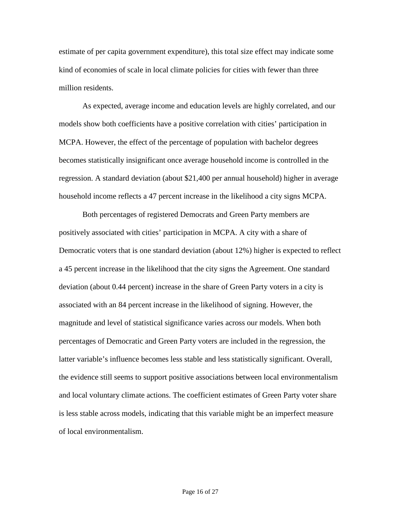estimate of per capita government expenditure), this total size effect may indicate some kind of economies of scale in local climate policies for cities with fewer than three million residents.

As expected, average income and education levels are highly correlated, and our models show both coefficients have a positive correlation with cities' participation in MCPA. However, the effect of the percentage of population with bachelor degrees becomes statistically insignificant once average household income is controlled in the regression. A standard deviation (about \$21,400 per annual household) higher in average household income reflects a 47 percent increase in the likelihood a city signs MCPA.

Both percentages of registered Democrats and Green Party members are positively associated with cities' participation in MCPA. A city with a share of Democratic voters that is one standard deviation (about 12%) higher is expected to reflect a 45 percent increase in the likelihood that the city signs the Agreement. One standard deviation (about 0.44 percent) increase in the share of Green Party voters in a city is associated with an 84 percent increase in the likelihood of signing. However, the magnitude and level of statistical significance varies across our models. When both percentages of Democratic and Green Party voters are included in the regression, the latter variable's influence becomes less stable and less statistically significant. Overall, the evidence still seems to support positive associations between local environmentalism and local voluntary climate actions. The coefficient estimates of Green Party voter share is less stable across models, indicating that this variable might be an imperfect measure of local environmentalism.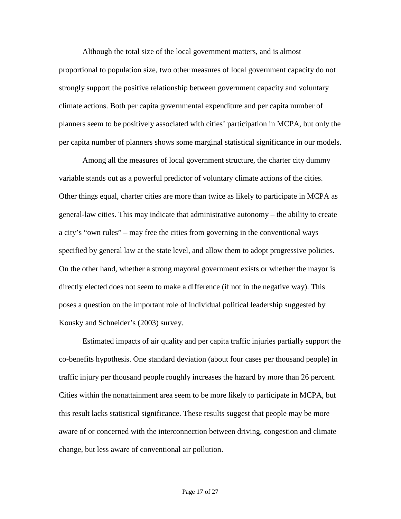Although the total size of the local government matters, and is almost proportional to population size, two other measures of local government capacity do not strongly support the positive relationship between government capacity and voluntary climate actions. Both per capita governmental expenditure and per capita number of planners seem to be positively associated with cities' participation in MCPA, but only the per capita number of planners shows some marginal statistical significance in our models.

Among all the measures of local government structure, the charter city dummy variable stands out as a powerful predictor of voluntary climate actions of the cities. Other things equal, charter cities are more than twice as likely to participate in MCPA as general-law cities. This may indicate that administrative autonomy – the ability to create a city's "own rules" – may free the cities from governing in the conventional ways specified by general law at the state level, and allow them to adopt progressive policies. On the other hand, whether a strong mayoral government exists or whether the mayor is directly elected does not seem to make a difference (if not in the negative way). This poses a question on the important role of individual political leadership suggested by Kousky and Schneider's (2003) survey.

Estimated impacts of air quality and per capita traffic injuries partially support the co-benefits hypothesis. One standard deviation (about four cases per thousand people) in traffic injury per thousand people roughly increases the hazard by more than 26 percent. Cities within the nonattainment area seem to be more likely to participate in MCPA, but this result lacks statistical significance. These results suggest that people may be more aware of or concerned with the interconnection between driving, congestion and climate change, but less aware of conventional air pollution.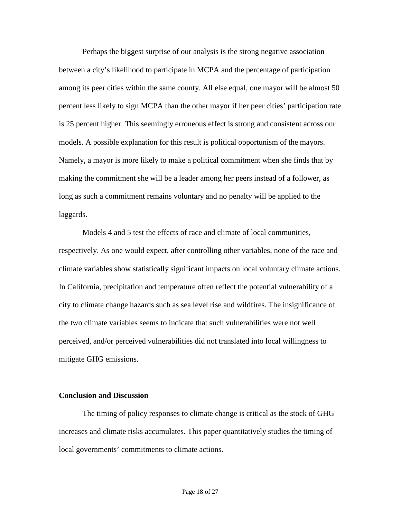Perhaps the biggest surprise of our analysis is the strong negative association between a city's likelihood to participate in MCPA and the percentage of participation among its peer cities within the same county. All else equal, one mayor will be almost 50 percent less likely to sign MCPA than the other mayor if her peer cities' participation rate is 25 percent higher. This seemingly erroneous effect is strong and consistent across our models. A possible explanation for this result is political opportunism of the mayors. Namely, a mayor is more likely to make a political commitment when she finds that by making the commitment she will be a leader among her peers instead of a follower, as long as such a commitment remains voluntary and no penalty will be applied to the laggards.

Models 4 and 5 test the effects of race and climate of local communities, respectively. As one would expect, after controlling other variables, none of the race and climate variables show statistically significant impacts on local voluntary climate actions. In California, precipitation and temperature often reflect the potential vulnerability of a city to climate change hazards such as sea level rise and wildfires. The insignificance of the two climate variables seems to indicate that such vulnerabilities were not well perceived, and/or perceived vulnerabilities did not translated into local willingness to mitigate GHG emissions.

## **Conclusion and Discussion**

The timing of policy responses to climate change is critical as the stock of GHG increases and climate risks accumulates. This paper quantitatively studies the timing of local governments' commitments to climate actions.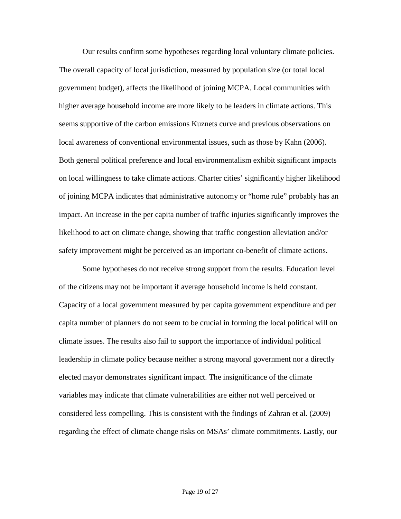Our results confirm some hypotheses regarding local voluntary climate policies. The overall capacity of local jurisdiction, measured by population size (or total local government budget), affects the likelihood of joining MCPA. Local communities with higher average household income are more likely to be leaders in climate actions. This seems supportive of the carbon emissions Kuznets curve and previous observations on local awareness of conventional environmental issues, such as those by Kahn (2006). Both general political preference and local environmentalism exhibit significant impacts on local willingness to take climate actions. Charter cities' significantly higher likelihood of joining MCPA indicates that administrative autonomy or "home rule" probably has an impact. An increase in the per capita number of traffic injuries significantly improves the likelihood to act on climate change, showing that traffic congestion alleviation and/or safety improvement might be perceived as an important co-benefit of climate actions.

Some hypotheses do not receive strong support from the results. Education level of the citizens may not be important if average household income is held constant. Capacity of a local government measured by per capita government expenditure and per capita number of planners do not seem to be crucial in forming the local political will on climate issues. The results also fail to support the importance of individual political leadership in climate policy because neither a strong mayoral government nor a directly elected mayor demonstrates significant impact. The insignificance of the climate variables may indicate that climate vulnerabilities are either not well perceived or considered less compelling. This is consistent with the findings of Zahran et al. (2009) regarding the effect of climate change risks on MSAs' climate commitments. Lastly, our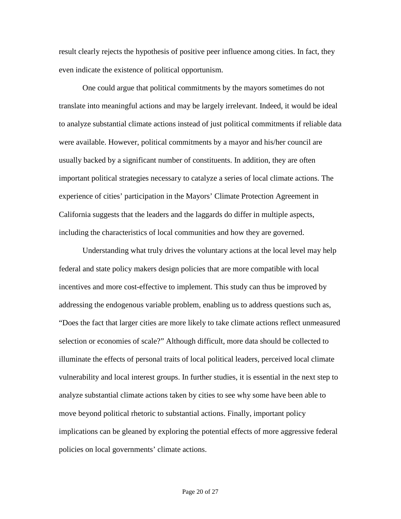result clearly rejects the hypothesis of positive peer influence among cities. In fact, they even indicate the existence of political opportunism.

One could argue that political commitments by the mayors sometimes do not translate into meaningful actions and may be largely irrelevant. Indeed, it would be ideal to analyze substantial climate actions instead of just political commitments if reliable data were available. However, political commitments by a mayor and his/her council are usually backed by a significant number of constituents. In addition, they are often important political strategies necessary to catalyze a series of local climate actions. The experience of cities' participation in the Mayors' Climate Protection Agreement in California suggests that the leaders and the laggards do differ in multiple aspects, including the characteristics of local communities and how they are governed.

Understanding what truly drives the voluntary actions at the local level may help federal and state policy makers design policies that are more compatible with local incentives and more cost-effective to implement. This study can thus be improved by addressing the endogenous variable problem, enabling us to address questions such as, "Does the fact that larger cities are more likely to take climate actions reflect unmeasured selection or economies of scale?" Although difficult, more data should be collected to illuminate the effects of personal traits of local political leaders, perceived local climate vulnerability and local interest groups. In further studies, it is essential in the next step to analyze substantial climate actions taken by cities to see why some have been able to move beyond political rhetoric to substantial actions. Finally, important policy implications can be gleaned by exploring the potential effects of more aggressive federal policies on local governments' climate actions.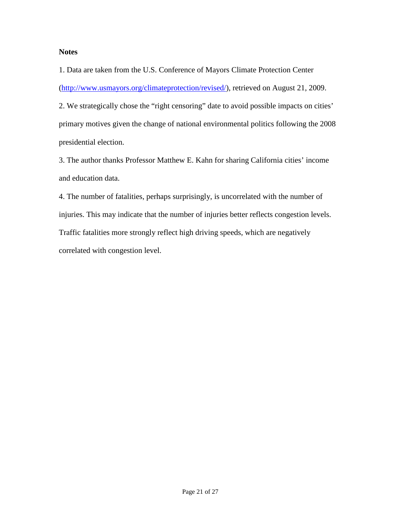## **Notes**

1. Data are taken from the U.S. Conference of Mayors Climate Protection Center [\(http://www.usmayors.org/climateprotection/revised/\)](http://www.usmayors.org/climateprotection/revised/), retrieved on August 21, 2009.

2. We strategically chose the "right censoring" date to avoid possible impacts on cities' primary motives given the change of national environmental politics following the 2008 presidential election.

3. The author thanks Professor Matthew E. Kahn for sharing California cities' income and education data.

4. The number of fatalities, perhaps surprisingly, is uncorrelated with the number of injuries. This may indicate that the number of injuries better reflects congestion levels. Traffic fatalities more strongly reflect high driving speeds, which are negatively correlated with congestion level.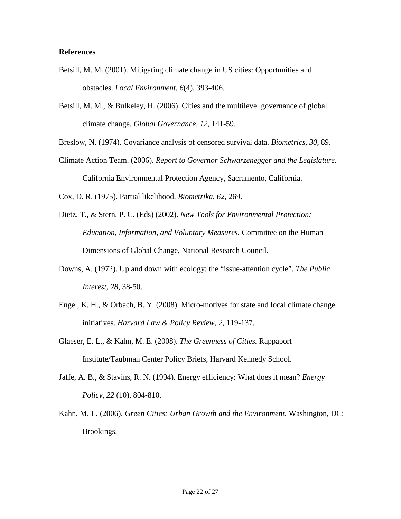## **References**

- Betsill, M. M. (2001). Mitigating climate change in US cities: Opportunities and obstacles. *Local Environment, 6*(4), 393-406.
- Betsill, M. M., & Bulkeley, H. (2006). Cities and the multilevel governance of global climate change. *Global Governance, 12*, 141-59.

Breslow, N. (1974). Covariance analysis of censored survival data. *Biometrics*, *30*, 89.

Climate Action Team. (2006). *Report to Governor Schwarzenegger and the Legislature.*  California Environmental Protection Agency, Sacramento, California.

Cox, D. R. (1975). Partial likelihood. *Biometrika, 62,* 269.

- Dietz, T., & Stern, P. C. (Eds) (2002). *New Tools for Environmental Protection: Education, Information, and Voluntary Measures.* Committee on the Human Dimensions of Global Change, National Research Council.
- Downs, A. (1972). Up and down with ecology: the "issue-attention cycle". *The Public Interest*, *28,* 38-50.
- Engel, K. H., & Orbach, B. Y. (2008). Micro-motives for state and local climate change initiatives. *Harvard Law & Policy Review, 2,* 119-137.
- Glaeser, E. L., & Kahn, M. E. (2008). *The Greenness of Cities.* Rappaport Institute/Taubman Center Policy Briefs, Harvard Kennedy School.
- Jaffe, A. B., & Stavins, R. N. (1994). Energy efficiency: What does it mean? *Energy Policy*, *22* (10), 804-810.
- Kahn, M. E. (2006). *Green Cities: Urban Growth and the Environment*. Washington, DC: Brookings.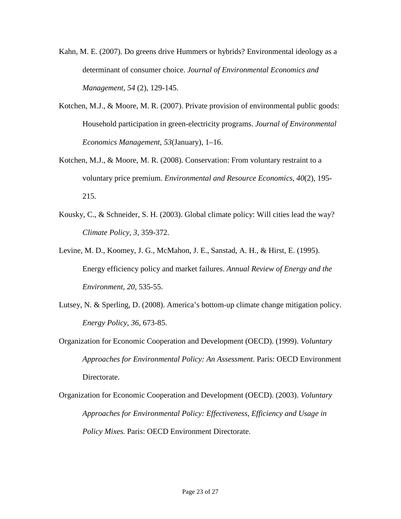- Kahn, M. E. (2007). Do greens drive Hummers or hybrids? Environmental ideology as a determinant of consumer choice. *Journal of Environmental Economics and Management, 54* (2), 129-145.
- Kotchen, M.J., & Moore, M. R. (2007). Private provision of environmental public goods: Household participation in green-electricity programs. *Journal of Environmental Economics Management, 53*(January), 1–16.
- Kotchen, M.J., & Moore, M. R. (2008). Conservation: From voluntary restraint to a voluntary price premium. *Environmental and Resource Economics, 40*(2), 195- 215.
- Kousky, C., & Schneider, S. H. (2003). Global climate policy: Will cities lead the way? *Climate Policy, 3,* 359-372.
- Levine, M. D., Koomey, J. G., McMahon, J. E., Sanstad, A. H., & Hirst, E. (1995). Energy efficiency policy and market failures. *Annual Review of Energy and the Environment, 20,* 535-55.
- Lutsey, N. & Sperling, D. (2008). America's bottom-up climate change mitigation policy. *Energy Policy, 36,* 673-85.
- Organization for Economic Cooperation and Development (OECD). (1999). *Voluntary Approaches for Environmental Policy: An Assessment.* Paris: OECD Environment Directorate.
- Organization for Economic Cooperation and Development (OECD). (2003). *Voluntary Approaches for Environmental Policy: Effectiveness, Efficiency and Usage in Policy Mixes.* Paris: OECD Environment Directorate.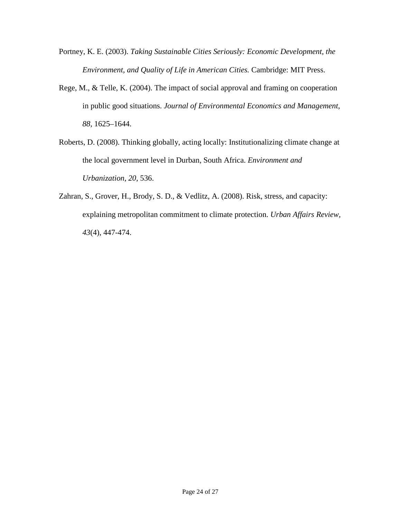- Portney, K. E. (2003). *Taking Sustainable Cities Seriously: Economic Development, the Environment, and Quality of Life in American Cities.* Cambridge: MIT Press.
- Rege, M., & Telle, K. (2004). The impact of social approval and framing on cooperation in public good situations. *Journal of Environmental Economics and Management*, *88,* 1625–1644.
- Roberts, D. (2008). Thinking globally, acting locally: Institutionalizing climate change at the local government level in Durban, South Africa. *Environment and Urbanization*, *20,* 536.
- Zahran, S., Grover, H., Brody, S. D., & Vedlitz, A. (2008). Risk, stress, and capacity: explaining metropolitan commitment to climate protection. *Urban Affairs Review, 43*(4), 447-474.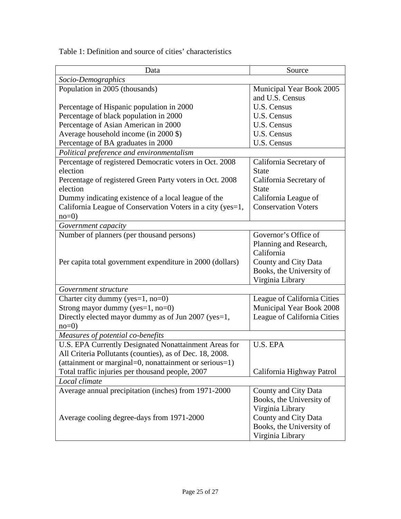| Data                                                       | Source                      |  |  |  |  |  |
|------------------------------------------------------------|-----------------------------|--|--|--|--|--|
| Socio-Demographics                                         |                             |  |  |  |  |  |
| Population in 2005 (thousands)                             | Municipal Year Book 2005    |  |  |  |  |  |
|                                                            | and U.S. Census             |  |  |  |  |  |
| Percentage of Hispanic population in 2000                  | U.S. Census                 |  |  |  |  |  |
| Percentage of black population in 2000                     | U.S. Census                 |  |  |  |  |  |
| Percentage of Asian American in 2000                       | U.S. Census                 |  |  |  |  |  |
| Average household income (in 2000 \$)                      | U.S. Census                 |  |  |  |  |  |
| Percentage of BA graduates in 2000                         | U.S. Census                 |  |  |  |  |  |
| Political preference and environmentalism                  |                             |  |  |  |  |  |
| Percentage of registered Democratic voters in Oct. 2008    | California Secretary of     |  |  |  |  |  |
| election                                                   | <b>State</b>                |  |  |  |  |  |
| Percentage of registered Green Party voters in Oct. 2008   | California Secretary of     |  |  |  |  |  |
| election                                                   | <b>State</b>                |  |  |  |  |  |
| Dummy indicating existence of a local league of the        | California League of        |  |  |  |  |  |
| California League of Conservation Voters in a city (yes=1, | <b>Conservation Voters</b>  |  |  |  |  |  |
| $no=0$                                                     |                             |  |  |  |  |  |
| Government capacity                                        |                             |  |  |  |  |  |
| Number of planners (per thousand persons)                  | Governor's Office of        |  |  |  |  |  |
|                                                            | Planning and Research,      |  |  |  |  |  |
|                                                            | California                  |  |  |  |  |  |
| Per capita total government expenditure in 2000 (dollars)  | County and City Data        |  |  |  |  |  |
|                                                            | Books, the University of    |  |  |  |  |  |
|                                                            | Virginia Library            |  |  |  |  |  |
| Government structure                                       |                             |  |  |  |  |  |
| Charter city dummy (yes=1, no=0)                           | League of California Cities |  |  |  |  |  |
| Strong mayor dummy (yes= $1$ , no= $0$ )                   | Municipal Year Book 2008    |  |  |  |  |  |
| Directly elected mayor dummy as of Jun 2007 (yes=1,        | League of California Cities |  |  |  |  |  |
| $no=0$                                                     |                             |  |  |  |  |  |
| Measures of potential co-benefits                          |                             |  |  |  |  |  |
| U.S. EPA Currently Designated Nonattainment Areas for      | U.S. EPA                    |  |  |  |  |  |
| All Criteria Pollutants (counties), as of Dec. 18, 2008.   |                             |  |  |  |  |  |
| (attainment or marginal=0, nonattainment or serious=1)     |                             |  |  |  |  |  |
| Total traffic injuries per thousand people, 2007           | California Highway Patrol   |  |  |  |  |  |
| Local climate                                              |                             |  |  |  |  |  |
| Average annual precipitation (inches) from 1971-2000       | County and City Data        |  |  |  |  |  |
|                                                            | Books, the University of    |  |  |  |  |  |
|                                                            | Virginia Library            |  |  |  |  |  |
| Average cooling degree-days from 1971-2000                 | County and City Data        |  |  |  |  |  |
|                                                            | Books, the University of    |  |  |  |  |  |
|                                                            | Virginia Library            |  |  |  |  |  |

Table 1: Definition and source of cities' characteristics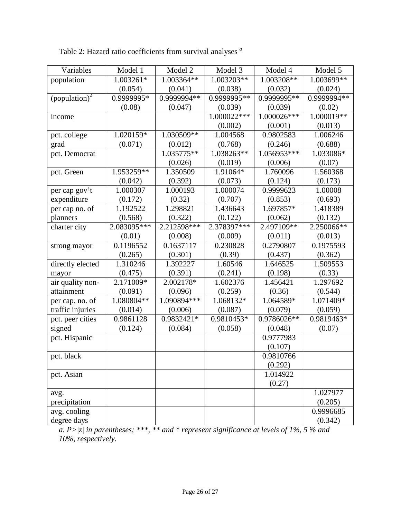| Variables                 | Model 1     | Model 2      | Model 3     | Model 4     | Model 5     |
|---------------------------|-------------|--------------|-------------|-------------|-------------|
| population                | 1.003261*   | 1.003364**   | 1.003203**  | 1.003208**  | 1.003699**  |
|                           | (0.054)     | (0.041)      | (0.038)     | (0.032)     | (0.024)     |
| (population) <sup>2</sup> | 0.9999995*  | 0.9999994**  | 0.9999995** | 0.9999995** | 0.9999994** |
|                           | (0.08)      | (0.047)      | (0.039)     | (0.039)     | (0.02)      |
| income                    |             |              | 1.000022*** | 1.000026*** | 1.000019**  |
|                           |             |              | (0.002)     | (0.001)     | (0.013)     |
| pct. college              | 1.020159*   | 1.030509**   | 1.004568    | 0.9802583   | 1.006246    |
| grad                      | (0.071)     | (0.012)      | (0.768)     | (0.246)     | (0.688)     |
| pct. Democrat             |             | 1.035775**   | 1.038263**  | 1.056953*** | 1.033086*   |
|                           |             | (0.026)      | (0.019)     | (0.006)     | (0.07)      |
| pct. Green                | 1.953259**  | 1.350509     | 1.91064*    | 1.760096    | 1.560368    |
|                           | (0.042)     | (0.392)      | (0.073)     | (0.124)     | (0.173)     |
| per cap gov't             | 1.000307    | 1.000193     | 1.000074    | 0.9999623   | 1.00008     |
| expenditure               | (0.172)     | (0.32)       | (0.707)     | (0.853)     | (0.693)     |
| per cap no. of            | 1.192522    | 1.298821     | 1.436643    | 1.697857*   | 1.418389    |
| planners                  | (0.568)     | (0.322)      | (0.122)     | (0.062)     | (0.132)     |
| charter city              | 2.083095*** | 2.212598***  | 2.378397*** | 2.497109**  | 2.250066**  |
|                           | (0.01)      | (0.008)      | (0.009)     | (0.011)     | (0.013)     |
| strong mayor              | 0.1196552   | 0.1637117    | 0.230828    | 0.2790807   | 0.1975593   |
|                           | (0.265)     | (0.301)      | (0.39)      | (0.437)     | (0.362)     |
| directly elected          | 1.310246    | 1.392227     | 1.60546     | 1.646525    | 1.509553    |
| mayor                     | (0.475)     | (0.391)      | (0.241)     | (0.198)     | (0.33)      |
| air quality non-          | 2.171009*   | 2.002178*    | 1.602376    | 1.456421    | 1.297692    |
| attainment                | (0.091)     | (0.096)      | (0.259)     | (0.36)      | (0.544)     |
| per cap. no. of           | 1.080804**  | 1.090894 *** | 1.068132*   | 1.064589*   | 1.071409*   |
| traffic injuries          | (0.014)     | (0.006)      | (0.087)     | (0.079)     | (0.059)     |
| pct. peer cities          | 0.9861128   | 0.9832421*   | 0.9810453*  | 0.9786026** | 0.9819463*  |
| signed                    | (0.124)     | (0.084)      | (0.058)     | (0.048)     | (0.07)      |
| pct. Hispanic             |             |              |             | 0.9777983   |             |
|                           |             |              |             | (0.107)     |             |
| pct. black                |             |              |             | 0.9810766   |             |
|                           |             |              |             | (0.292)     |             |
| pct. Asian                |             |              |             | 1.014922    |             |
|                           |             |              |             | (0.27)      |             |
| avg.                      |             |              |             |             | 1.027977    |
| precipitation             |             |              |             |             | (0.205)     |
| avg. cooling              |             |              |             |             | 0.9996685   |
| degree days               |             |              |             |             | (0.342)     |

Table 2: Hazard ratio coefficients from survival analyses *<sup>a</sup>*

*a. P>|z| in parentheses; \*\*\*, \*\* and \* represent significance at levels of 1%, 5 % and 10%, respectively.*